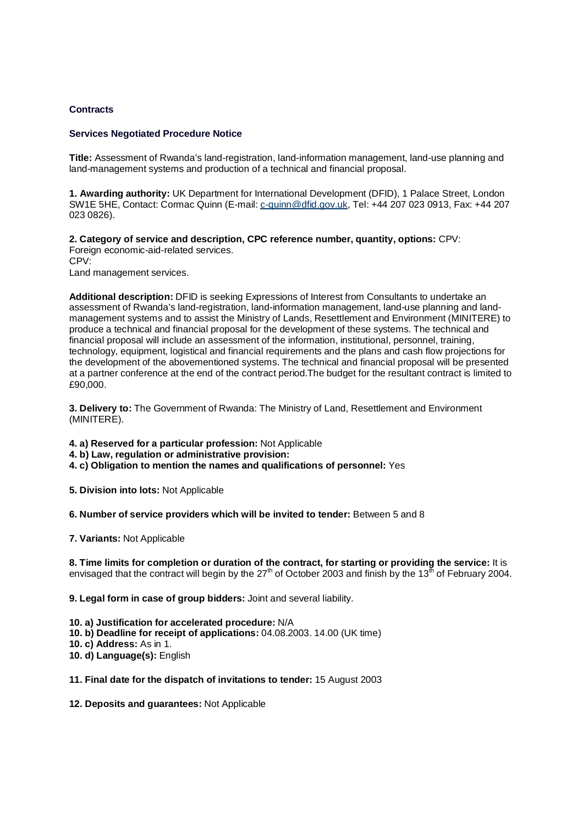## **Contracts**

## **Services Negotiated Procedure Notice**

**Title:** Assessment of Rwanda's land-registration, land-information management, land-use planning and land-management systems and production of a technical and financial proposal.

**1. Awarding authority:** UK Department for International Development (DFID), 1 Palace Street, London SW1E 5HE, Contact: Cormac Quinn (E-mail: c-quinn@dfid.gov.uk, Tel: +44 207 023 0913, Fax: +44 207 023 0826).

**2. Category of service and description, CPC reference number, quantity, options:** CPV: Foreign economic-aid-related services. CPV:

Land management services.

**Additional description:** DFID is seeking Expressions of Interest from Consultants to undertake an assessment of Rwanda's land-registration, land-information management, land-use planning and landmanagement systems and to assist the Ministry of Lands, Resettlement and Environment (MINITERE) to produce a technical and financial proposal for the development of these systems. The technical and financial proposal will include an assessment of the information, institutional, personnel, training, technology, equipment, logistical and financial requirements and the plans and cash flow projections for the development of the abovementioned systems. The technical and financial proposal will be presented at a partner conference at the end of the contract period.The budget for the resultant contract is limited to £90,000.

**3. Delivery to:** The Government of Rwanda: The Ministry of Land, Resettlement and Environment (MINITERE).

- **4. a) Reserved for a particular profession:** Not Applicable
- **4. b) Law, regulation or administrative provision:**
- **4. c) Obligation to mention the names and qualifications of personnel:** Yes
- **5. Division into lots:** Not Applicable

**6. Number of service providers which will be invited to tender:** Between 5 and 8

**7. Variants:** Not Applicable

**8. Time limits for completion or duration of the contract, for starting or providing the service:** It is envisaged that the contract will begin by the  $27<sup>th</sup>$  of October 2003 and finish by the 13<sup>th</sup> of February 2004.

**9. Legal form in case of group bidders:** Joint and several liability.

- **10. a) Justification for accelerated procedure:** N/A
- **10. b) Deadline for receipt of applications:** 04.08.2003. 14.00 (UK time)
- **10. c) Address:** As in 1.
- **10. d) Language(s):** English

## **11. Final date for the dispatch of invitations to tender:** 15 August 2003

**12. Deposits and guarantees:** Not Applicable